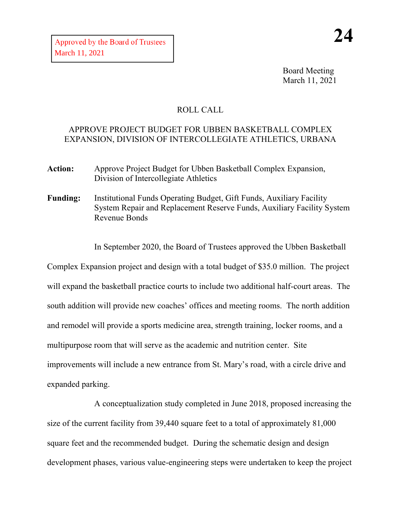Board Meeting March 11, 2021

## ROLL CALL

## APPROVE PROJECT BUDGET FOR UBBEN BASKETBALL COMPLEX EXPANSION, DIVISION OF INTERCOLLEGIATE ATHLETICS, URBANA

- **Action:** Approve Project Budget for Ubben Basketball Complex Expansion, Division of Intercollegiate Athletics
- **Funding:** Institutional Funds Operating Budget, Gift Funds, Auxiliary Facility System Repair and Replacement Reserve Funds, Auxiliary Facility System Revenue Bonds

In September 2020, the Board of Trustees approved the Ubben Basketball

Complex Expansion project and design with a total budget of \$35.0 million. The project will expand the basketball practice courts to include two additional half-court areas. The south addition will provide new coaches' offices and meeting rooms. The north addition and remodel will provide a sports medicine area, strength training, locker rooms, and a multipurpose room that will serve as the academic and nutrition center. Site improvements will include a new entrance from St. Mary's road, with a circle drive and expanded parking.

A conceptualization study completed in June 2018, proposed increasing the size of the current facility from 39,440 square feet to a total of approximately 81,000 square feet and the recommended budget. During the schematic design and design development phases, various value-engineering steps were undertaken to keep the project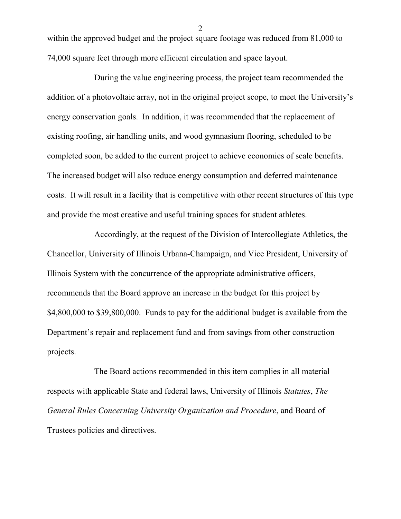within the approved budget and the project square footage was reduced from 81,000 to 74,000 square feet through more efficient circulation and space layout.

During the value engineering process, the project team recommended the addition of a photovoltaic array, not in the original project scope, to meet the University's energy conservation goals. In addition, it was recommended that the replacement of existing roofing, air handling units, and wood gymnasium flooring, scheduled to be completed soon, be added to the current project to achieve economies of scale benefits. The increased budget will also reduce energy consumption and deferred maintenance costs. It will result in a facility that is competitive with other recent structures of this type and provide the most creative and useful training spaces for student athletes.

Accordingly, at the request of the Division of Intercollegiate Athletics, the Chancellor, University of Illinois Urbana-Champaign, and Vice President, University of Illinois System with the concurrence of the appropriate administrative officers, recommends that the Board approve an increase in the budget for this project by \$4,800,000 to \$39,800,000. Funds to pay for the additional budget is available from the Department's repair and replacement fund and from savings from other construction projects.

The Board actions recommended in this item complies in all material respects with applicable State and federal laws, University of Illinois *Statutes*, *The General Rules Concerning University Organization and Procedure*, and Board of Trustees policies and directives.

2